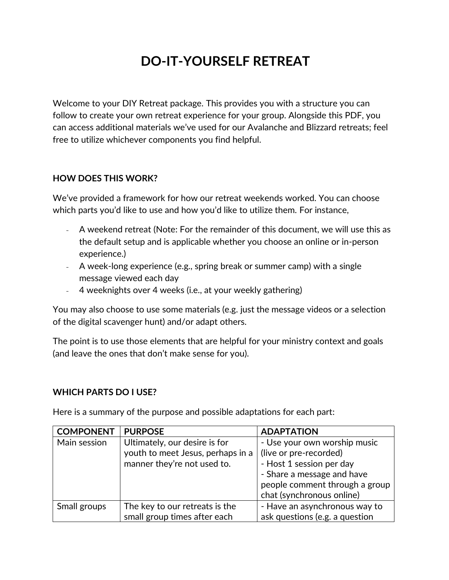# **DO-IT-YOURSELF RETREAT**

Welcome to your DIY Retreat package. This provides you with a structure you can follow to create your own retreat experience for your group. Alongside this PDF, you can access additional materials we've used for our Avalanche and Blizzard retreats; feel free to utilize whichever components you find helpful.

### **HOW DOES THIS WORK?**

We've provided a framework for how our retreat weekends worked. You can choose which parts you'd like to use and how you'd like to utilize them. For instance,

- A weekend retreat (Note: For the remainder of this document, we will use this as the default setup and is applicable whether you choose an online or in-person experience.)
- A week-long experience (e.g., spring break or summer camp) with a single message viewed each day
- 4 weeknights over 4 weeks (i.e., at your weekly gathering)

You may also choose to use some materials (e.g. just the message videos or a selection of the digital scavenger hunt) and/or adapt others.

The point is to use those elements that are helpful for your ministry context and goals (and leave the ones that don't make sense for you).

### **WHICH PARTS DO I USE?**

Here is a summary of the purpose and possible adaptations for each part:

| <b>COMPONENT</b> | <b>PURPOSE</b>                    | <b>ADAPTATION</b>              |
|------------------|-----------------------------------|--------------------------------|
| Main session     | Ultimately, our desire is for     | - Use your own worship music   |
|                  | youth to meet Jesus, perhaps in a | (live or pre-recorded)         |
|                  | manner they're not used to.       | - Host 1 session per day       |
|                  |                                   | - Share a message and have     |
|                  |                                   | people comment through a group |
|                  |                                   | chat (synchronous online)      |
| Small groups     | The key to our retreats is the    | - Have an asynchronous way to  |
|                  | small group times after each      | ask questions (e.g. a question |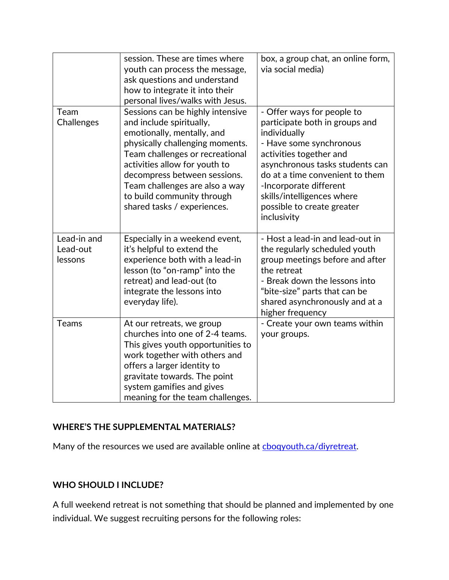| Team<br>Challenges                 | session. These are times where<br>youth can process the message,<br>ask questions and understand<br>how to integrate it into their<br>personal lives/walks with Jesus.<br>Sessions can be highly intensive<br>and include spiritually,<br>emotionally, mentally, and | box, a group chat, an online form,<br>via social media)<br>- Offer ways for people to<br>participate both in groups and<br>individually                                                                                                     |
|------------------------------------|----------------------------------------------------------------------------------------------------------------------------------------------------------------------------------------------------------------------------------------------------------------------|---------------------------------------------------------------------------------------------------------------------------------------------------------------------------------------------------------------------------------------------|
|                                    | physically challenging moments.<br>Team challenges or recreational<br>activities allow for youth to<br>decompress between sessions.<br>Team challenges are also a way<br>to build community through<br>shared tasks / experiences.                                   | - Have some synchronous<br>activities together and<br>asynchronous tasks students can<br>do at a time convenient to them<br>-Incorporate different<br>skills/intelligences where<br>possible to create greater<br>inclusivity               |
| Lead-in and<br>Lead-out<br>lessons | Especially in a weekend event,<br>it's helpful to extend the<br>experience both with a lead-in<br>lesson (to "on-ramp" into the<br>retreat) and lead-out (to<br>integrate the lessons into<br>everyday life).                                                        | - Host a lead-in and lead-out in<br>the regularly scheduled youth<br>group meetings before and after<br>the retreat<br>- Break down the lessons into<br>"bite-size" parts that can be<br>shared asynchronously and at a<br>higher frequency |
| Teams                              | At our retreats, we group<br>churches into one of 2-4 teams.<br>This gives youth opportunities to<br>work together with others and<br>offers a larger identity to<br>gravitate towards. The point<br>system gamifies and gives<br>meaning for the team challenges.   | - Create your own teams within<br>your groups.                                                                                                                                                                                              |

### **WHERE'S THE SUPPLEMENTAL MATERIALS?**

Many of the resources we used are available online at [cboqyouth.ca/diyretreat.](https://cboqyouth.ca/diyretreat)

# **WHO SHOULD I INCLUDE?**

A full weekend retreat is not something that should be planned and implemented by one individual. We suggest recruiting persons for the following roles: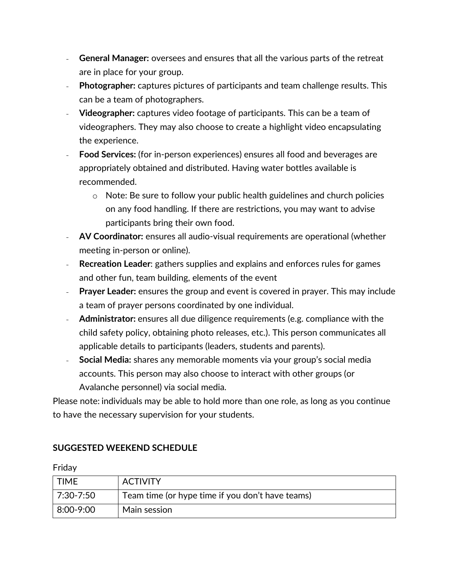- **General Manager:** oversees and ensures that all the various parts of the retreat are in place for your group.
- **Photographer:** captures pictures of participants and team challenge results. This can be a team of photographers.
- **Videographer:** captures video footage of participants. This can be a team of videographers. They may also choose to create a highlight video encapsulating the experience.
- **Food Services:** (for in-person experiences) ensures all food and beverages are appropriately obtained and distributed. Having water bottles available is recommended.
	- o Note: Be sure to follow your public health guidelines and church policies on any food handling. If there are restrictions, you may want to advise participants bring their own food.
- **AV Coordinator:** ensures all audio-visual requirements are operational (whether meeting in-person or online).
- **Recreation Leader:** gathers supplies and explains and enforces rules for games and other fun, team building, elements of the event
- **Prayer Leader:** ensures the group and event is covered in prayer. This may include a team of prayer persons coordinated by one individual.
- **Administrator:** ensures all due diligence requirements (e.g. compliance with the child safety policy, obtaining photo releases, etc.). This person communicates all applicable details to participants (leaders, students and parents).
- **Social Media:** shares any memorable moments via your group's social media accounts. This person may also choose to interact with other groups (or Avalanche personnel) via social media.

Please note: individuals may be able to hold more than one role, as long as you continue to have the necessary supervision for your students.

# **SUGGESTED WEEKEND SCHEDULE**

Friday

| <b>TIME</b>     | <b>ACTIVITY</b>                                  |
|-----------------|--------------------------------------------------|
| 7:30-7:50       | Team time (or hype time if you don't have teams) |
| $ 8:00 - 9:00 $ | Main session                                     |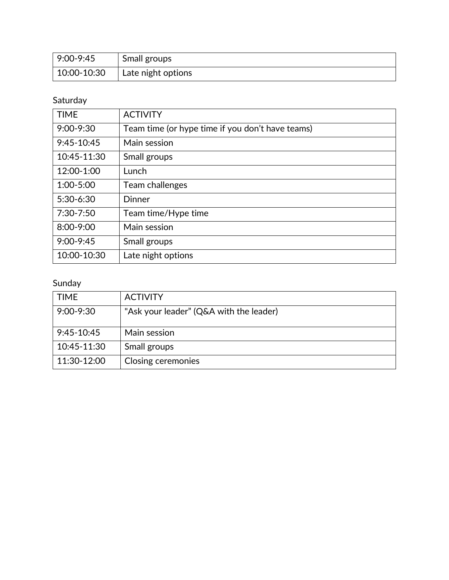| $9:00-9:45$ | Small groups       |
|-------------|--------------------|
| 10:00-10:30 | Late night options |

# Saturday

| <b>TIME</b>   | <b>ACTIVITY</b>                                  |
|---------------|--------------------------------------------------|
| $9:00 - 9:30$ | Team time (or hype time if you don't have teams) |
| $9:45-10:45$  | Main session                                     |
| 10:45-11:30   | Small groups                                     |
| 12:00-1:00    | Lunch                                            |
| 1:00-5:00     | Team challenges                                  |
| 5:30-6:30     | <b>Dinner</b>                                    |
| 7:30-7:50     | Team time/Hype time                              |
| 8:00-9:00     | Main session                                     |
| $9:00 - 9:45$ | Small groups                                     |
| 10:00-10:30   | Late night options                               |

# Sunday

| <b>TIME</b>   | <b>ACTIVITY</b>                         |
|---------------|-----------------------------------------|
| $9:00 - 9:30$ | "Ask your leader" (Q&A with the leader) |
| $9:45-10:45$  | Main session                            |
| 10:45-11:30   | Small groups                            |
| 11:30-12:00   | <b>Closing ceremonies</b>               |